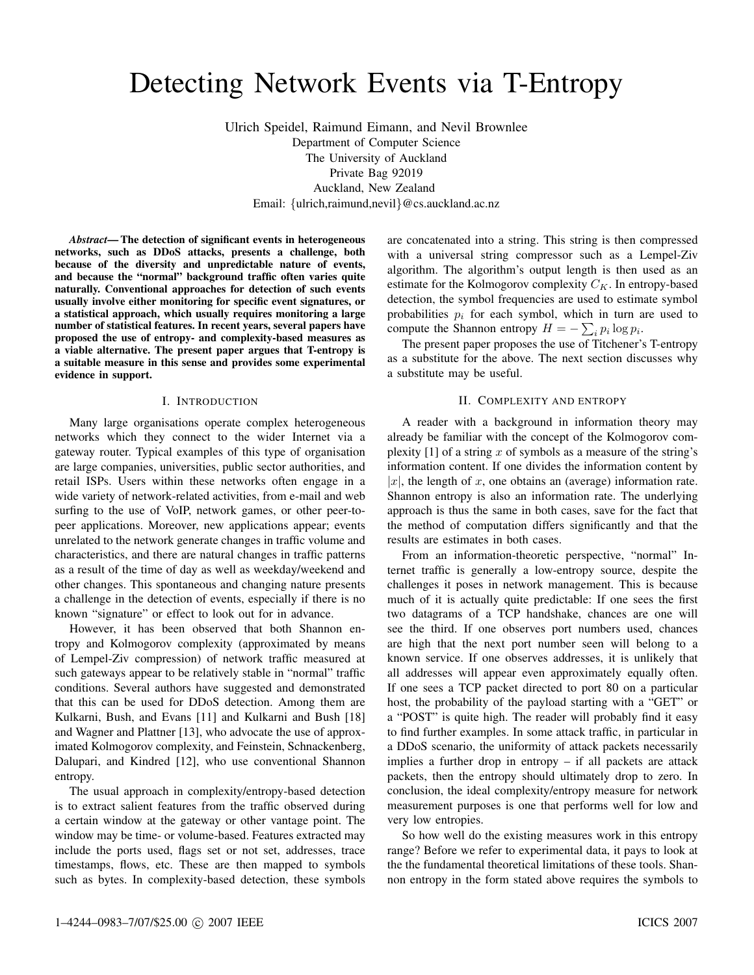# Detecting Network Events via T-Entropy

Ulrich Speidel, Raimund Eimann, and Nevil Brownlee Department of Computer Science The University of Auckland Private Bag 92019 Auckland, New Zealand Email: {ulrich,raimund,nevil}@cs.auckland.ac.nz

*Abstract*— The detection of significant events in heterogeneous networks, such as DDoS attacks, presents a challenge, both because of the diversity and unpredictable nature of events, and because the "normal" background traffic often varies quite naturally. Conventional approaches for detection of such events usually involve either monitoring for specific event signatures, or a statistical approach, which usually requires monitoring a large number of statistical features. In recent years, several papers have proposed the use of entropy- and complexity-based measures as a viable alternative. The present paper argues that T-entropy is a suitable measure in this sense and provides some experimental evidence in support.

#### I. INTRODUCTION

Many large organisations operate complex heterogeneous networks which they connect to the wider Internet via a gateway router. Typical examples of this type of organisation are large companies, universities, public sector authorities, and retail ISPs. Users within these networks often engage in a wide variety of network-related activities, from e-mail and web surfing to the use of VoIP, network games, or other peer-topeer applications. Moreover, new applications appear; events unrelated to the network generate changes in traffic volume and characteristics, and there are natural changes in traffic patterns as a result of the time of day as well as weekday/weekend and other changes. This spontaneous and changing nature presents a challenge in the detection of events, especially if there is no known "signature" or effect to look out for in advance.

However, it has been observed that both Shannon entropy and Kolmogorov complexity (approximated by means of Lempel-Ziv compression) of network traffic measured at such gateways appear to be relatively stable in "normal" traffic conditions. Several authors have suggested and demonstrated that this can be used for DDoS detection. Among them are Kulkarni, Bush, and Evans [11] and Kulkarni and Bush [18] and Wagner and Plattner [13], who advocate the use of approximated Kolmogorov complexity, and Feinstein, Schnackenberg, Dalupari, and Kindred [12], who use conventional Shannon entropy.

The usual approach in complexity/entropy-based detection is to extract salient features from the traffic observed during a certain window at the gateway or other vantage point. The window may be time- or volume-based. Features extracted may include the ports used, flags set or not set, addresses, trace timestamps, flows, etc. These are then mapped to symbols such as bytes. In complexity-based detection, these symbols are concatenated into a string. This string is then compressed with a universal string compressor such as a Lempel-Ziv algorithm. The algorithm's output length is then used as an estimate for the Kolmogorov complexity  $C_K$ . In entropy-based detection, the symbol frequencies are used to estimate symbol probabilities  $p_i$  for each symbol, which in turn are used to compute the Shannon entropy  $H = -\sum_i p_i \log p_i$ .

The present paper proposes the use of Titchener's T-entropy as a substitute for the above. The next section discusses why a substitute may be useful.

# II. COMPLEXITY AND ENTROPY

A reader with a background in information theory may already be familiar with the concept of the Kolmogorov complexity  $[1]$  of a string x of symbols as a measure of the string's information content. If one divides the information content by |x|, the length of x, one obtains an (average) information rate. Shannon entropy is also an information rate. The underlying approach is thus the same in both cases, save for the fact that the method of computation differs significantly and that the results are estimates in both cases.

From an information-theoretic perspective, "normal" Internet traffic is generally a low-entropy source, despite the challenges it poses in network management. This is because much of it is actually quite predictable: If one sees the first two datagrams of a TCP handshake, chances are one will see the third. If one observes port numbers used, chances are high that the next port number seen will belong to a known service. If one observes addresses, it is unlikely that all addresses will appear even approximately equally often. If one sees a TCP packet directed to port 80 on a particular host, the probability of the payload starting with a "GET" or a "POST" is quite high. The reader will probably find it easy to find further examples. In some attack traffic, in particular in a DDoS scenario, the uniformity of attack packets necessarily implies a further drop in entropy – if all packets are attack packets, then the entropy should ultimately drop to zero. In conclusion, the ideal complexity/entropy measure for network measurement purposes is one that performs well for low and very low entropies.

So how well do the existing measures work in this entropy range? Before we refer to experimental data, it pays to look at the the fundamental theoretical limitations of these tools. Shannon entropy in the form stated above requires the symbols to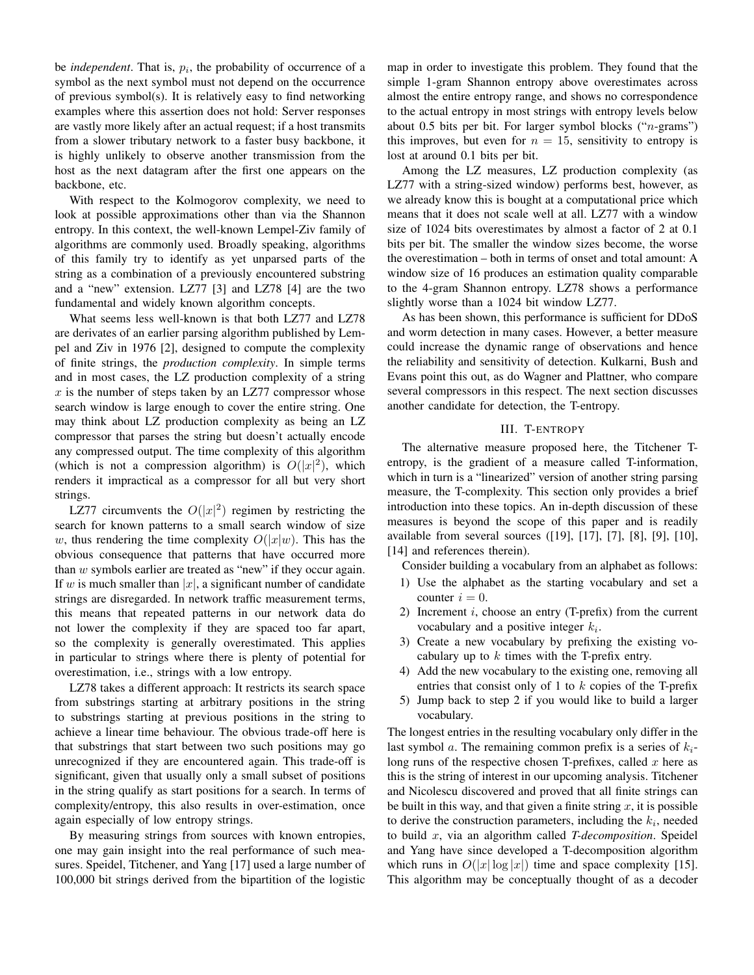be *independent*. That is,  $p_i$ , the probability of occurrence of a symbol as the next symbol must not depend on the occurrence of previous symbol(s). It is relatively easy to find networking examples where this assertion does not hold: Server responses are vastly more likely after an actual request; if a host transmits from a slower tributary network to a faster busy backbone, it is highly unlikely to observe another transmission from the host as the next datagram after the first one appears on the backbone, etc.

With respect to the Kolmogorov complexity, we need to look at possible approximations other than via the Shannon entropy. In this context, the well-known Lempel-Ziv family of algorithms are commonly used. Broadly speaking, algorithms of this family try to identify as yet unparsed parts of the string as a combination of a previously encountered substring and a "new" extension. LZ77 [3] and LZ78 [4] are the two fundamental and widely known algorithm concepts.

What seems less well-known is that both LZ77 and LZ78 are derivates of an earlier parsing algorithm published by Lempel and Ziv in 1976 [2], designed to compute the complexity of finite strings, the *production complexity*. In simple terms and in most cases, the LZ production complexity of a string  $x$  is the number of steps taken by an LZ77 compressor whose search window is large enough to cover the entire string. One may think about LZ production complexity as being an LZ compressor that parses the string but doesn't actually encode any compressed output. The time complexity of this algorithm (which is not a compression algorithm) is  $O(|x|^2)$ , which renders it impractical as a compressor for all but very short strings.

LZ77 circumvents the  $O(|x|^2)$  regimen by restricting the search for known patterns to a small search window of size w, thus rendering the time complexity  $O(|x|w)$ . This has the obvious consequence that patterns that have occurred more than  $w$  symbols earlier are treated as "new" if they occur again. If w is much smaller than  $|x|$ , a significant number of candidate strings are disregarded. In network traffic measurement terms, this means that repeated patterns in our network data do not lower the complexity if they are spaced too far apart, so the complexity is generally overestimated. This applies in particular to strings where there is plenty of potential for overestimation, i.e., strings with a low entropy.

LZ78 takes a different approach: It restricts its search space from substrings starting at arbitrary positions in the string to substrings starting at previous positions in the string to achieve a linear time behaviour. The obvious trade-off here is that substrings that start between two such positions may go unrecognized if they are encountered again. This trade-off is significant, given that usually only a small subset of positions in the string qualify as start positions for a search. In terms of complexity/entropy, this also results in over-estimation, once again especially of low entropy strings.

By measuring strings from sources with known entropies, one may gain insight into the real performance of such measures. Speidel, Titchener, and Yang [17] used a large number of 100,000 bit strings derived from the bipartition of the logistic map in order to investigate this problem. They found that the simple 1-gram Shannon entropy above overestimates across almost the entire entropy range, and shows no correspondence to the actual entropy in most strings with entropy levels below about 0.5 bits per bit. For larger symbol blocks  $("n-grams")$ this improves, but even for  $n = 15$ , sensitivity to entropy is lost at around 0.1 bits per bit.

Among the LZ measures, LZ production complexity (as LZ77 with a string-sized window) performs best, however, as we already know this is bought at a computational price which means that it does not scale well at all. LZ77 with a window size of 1024 bits overestimates by almost a factor of 2 at 0.1 bits per bit. The smaller the window sizes become, the worse the overestimation – both in terms of onset and total amount: A window size of 16 produces an estimation quality comparable to the 4-gram Shannon entropy. LZ78 shows a performance slightly worse than a 1024 bit window LZ77.

As has been shown, this performance is sufficient for DDoS and worm detection in many cases. However, a better measure could increase the dynamic range of observations and hence the reliability and sensitivity of detection. Kulkarni, Bush and Evans point this out, as do Wagner and Plattner, who compare several compressors in this respect. The next section discusses another candidate for detection, the T-entropy.

# III. T-ENTROPY

The alternative measure proposed here, the Titchener Tentropy, is the gradient of a measure called T-information, which in turn is a "linearized" version of another string parsing measure, the T-complexity. This section only provides a brief introduction into these topics. An in-depth discussion of these measures is beyond the scope of this paper and is readily available from several sources ([19], [17], [7], [8], [9], [10], [14] and references therein).

- Consider building a vocabulary from an alphabet as follows:
- 1) Use the alphabet as the starting vocabulary and set a counter  $i = 0$ .
- 2) Increment  $i$ , choose an entry (T-prefix) from the current vocabulary and a positive integer  $k_i$ .
- 3) Create a new vocabulary by prefixing the existing vocabulary up to  $k$  times with the T-prefix entry.
- 4) Add the new vocabulary to the existing one, removing all entries that consist only of 1 to  $k$  copies of the T-prefix
- 5) Jump back to step 2 if you would like to build a larger vocabulary.

The longest entries in the resulting vocabulary only differ in the last symbol a. The remaining common prefix is a series of  $k_i$ long runs of the respective chosen T-prefixes, called  $x$  here as this is the string of interest in our upcoming analysis. Titchener and Nicolescu discovered and proved that all finite strings can be built in this way, and that given a finite string  $x$ , it is possible to derive the construction parameters, including the  $k_i$ , needed to build x, via an algorithm called *T-decomposition*. Speidel and Yang have since developed a T-decomposition algorithm which runs in  $O(|x| \log |x|)$  time and space complexity [15]. This algorithm may be conceptually thought of as a decoder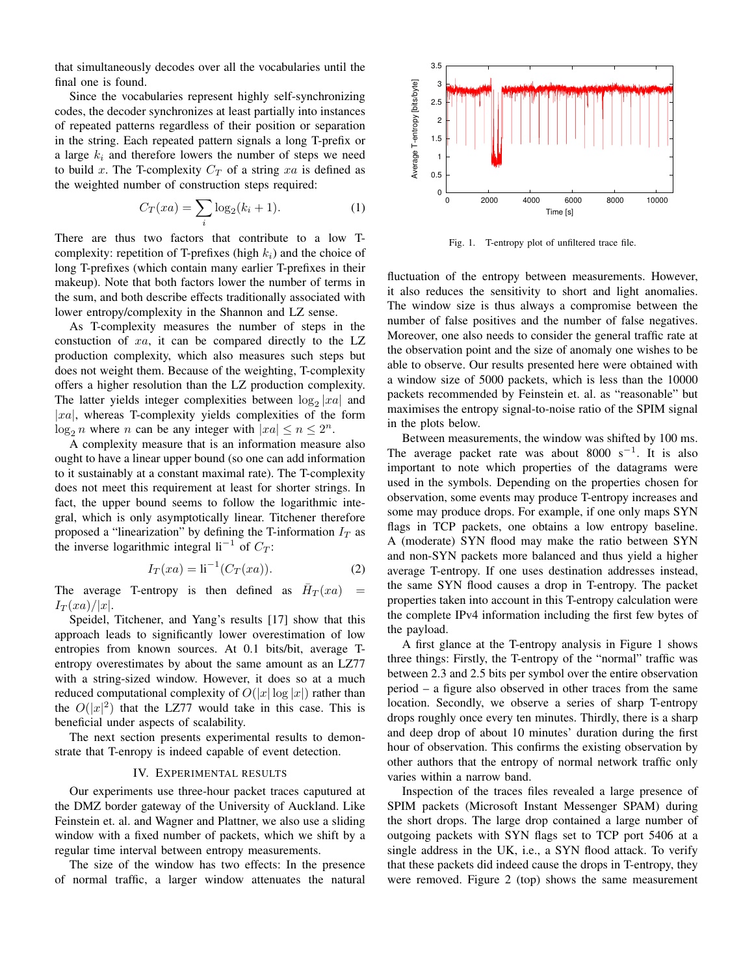that simultaneously decodes over all the vocabularies until the final one is found.

Since the vocabularies represent highly self-synchronizing codes, the decoder synchronizes at least partially into instances of repeated patterns regardless of their position or separation in the string. Each repeated pattern signals a long T-prefix or a large  $k_i$  and therefore lowers the number of steps we need to build x. The T-complexity  $C_T$  of a string xa is defined as the weighted number of construction steps required:

$$
C_T(xa) = \sum_{i} \log_2(k_i + 1).
$$
 (1)

There are thus two factors that contribute to a low Tcomplexity: repetition of T-prefixes (high  $k_i$ ) and the choice of long T-prefixes (which contain many earlier T-prefixes in their makeup). Note that both factors lower the number of terms in the sum, and both describe effects traditionally associated with lower entropy/complexity in the Shannon and LZ sense.

As T-complexity measures the number of steps in the constuction of  $xa$ , it can be compared directly to the LZ production complexity, which also measures such steps but does not weight them. Because of the weighting, T-complexity offers a higher resolution than the LZ production complexity. The latter yields integer complexities between  $log_2 |xa|$  and  $|xa|$ , whereas T-complexity yields complexities of the form  $\log_2 n$  where *n* can be any integer with  $|xa| \le n \le 2^n$ .

A complexity measure that is an information measure also ought to have a linear upper bound (so one can add information to it sustainably at a constant maximal rate). The T-complexity does not meet this requirement at least for shorter strings. In fact, the upper bound seems to follow the logarithmic integral, which is only asymptotically linear. Titchener therefore proposed a "linearization" by defining the T-information  $I_T$  as the inverse logarithmic integral  $li^{-1}$  of  $C_T$ :

$$
I_T(xa) = \text{li}^{-1}(C_T(xa)).
$$
 (2)

The average T-entropy is then defined as  $\bar{H}_T(xa)$  =  $I_T(xa)/|x|$ .

Speidel, Titchener, and Yang's results [17] show that this approach leads to significantly lower overestimation of low entropies from known sources. At 0.1 bits/bit, average Tentropy overestimates by about the same amount as an LZ77 with a string-sized window. However, it does so at a much reduced computational complexity of  $O(|x| \log |x|)$  rather than the  $O(|x|^2)$  that the LZ77 would take in this case. This is beneficial under aspects of scalability.

The next section presents experimental results to demonstrate that T-enropy is indeed capable of event detection.

# IV. EXPERIMENTAL RESULTS

Our experiments use three-hour packet traces caputured at the DMZ border gateway of the University of Auckland. Like Feinstein et. al. and Wagner and Plattner, we also use a sliding window with a fixed number of packets, which we shift by a regular time interval between entropy measurements.

The size of the window has two effects: In the presence of normal traffic, a larger window attenuates the natural



Fig. 1. T-entropy plot of unfiltered trace file.

fluctuation of the entropy between measurements. However, it also reduces the sensitivity to short and light anomalies. The window size is thus always a compromise between the number of false positives and the number of false negatives. Moreover, one also needs to consider the general traffic rate at the observation point and the size of anomaly one wishes to be able to observe. Our results presented here were obtained with a window size of 5000 packets, which is less than the 10000 packets recommended by Feinstein et. al. as "reasonable" but maximises the entropy signal-to-noise ratio of the SPIM signal in the plots below.

Between measurements, the window was shifted by 100 ms. The average packet rate was about 8000 s<sup>-1</sup>. It is also important to note which properties of the datagrams were used in the symbols. Depending on the properties chosen for observation, some events may produce T-entropy increases and some may produce drops. For example, if one only maps SYN flags in TCP packets, one obtains a low entropy baseline. A (moderate) SYN flood may make the ratio between SYN and non-SYN packets more balanced and thus yield a higher average T-entropy. If one uses destination addresses instead, the same SYN flood causes a drop in T-entropy. The packet properties taken into account in this T-entropy calculation were the complete IPv4 information including the first few bytes of the payload.

A first glance at the T-entropy analysis in Figure 1 shows three things: Firstly, the T-entropy of the "normal" traffic was between 2.3 and 2.5 bits per symbol over the entire observation period – a figure also observed in other traces from the same location. Secondly, we observe a series of sharp T-entropy drops roughly once every ten minutes. Thirdly, there is a sharp and deep drop of about 10 minutes' duration during the first hour of observation. This confirms the existing observation by other authors that the entropy of normal network traffic only varies within a narrow band.

Inspection of the traces files revealed a large presence of SPIM packets (Microsoft Instant Messenger SPAM) during the short drops. The large drop contained a large number of outgoing packets with SYN flags set to TCP port 5406 at a single address in the UK, i.e., a SYN flood attack. To verify that these packets did indeed cause the drops in T-entropy, they were removed. Figure 2 (top) shows the same measurement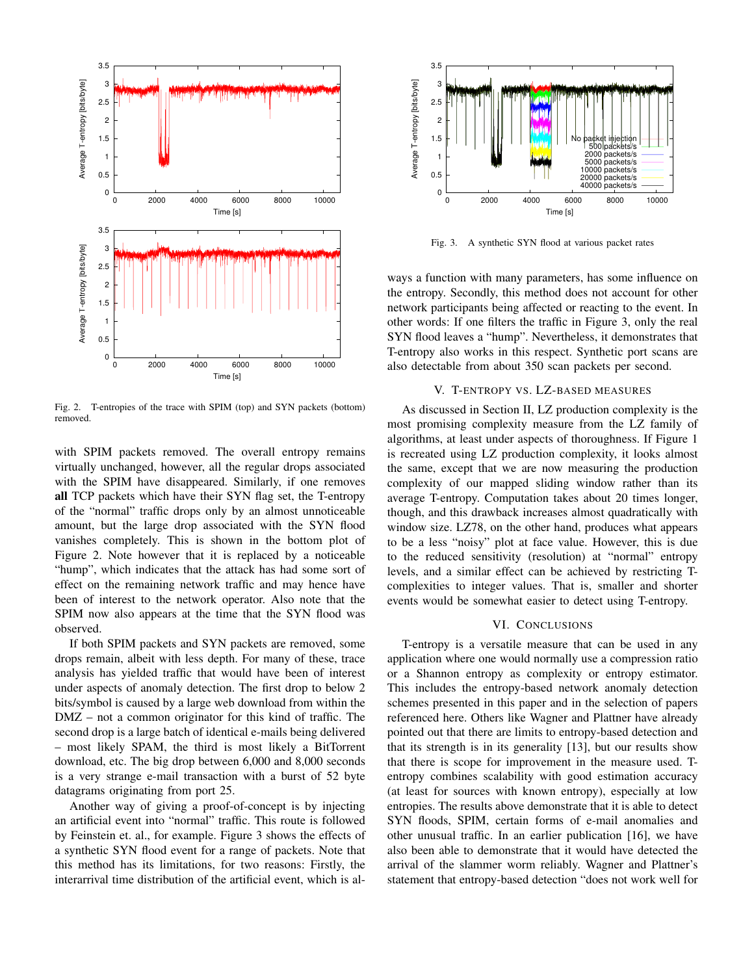

Fig. 2. T-entropies of the trace with SPIM (top) and SYN packets (bottom) removed.

with SPIM packets removed. The overall entropy remains virtually unchanged, however, all the regular drops associated with the SPIM have disappeared. Similarly, if one removes all TCP packets which have their SYN flag set, the T-entropy of the "normal" traffic drops only by an almost unnoticeable amount, but the large drop associated with the SYN flood vanishes completely. This is shown in the bottom plot of Figure 2. Note however that it is replaced by a noticeable "hump", which indicates that the attack has had some sort of effect on the remaining network traffic and may hence have been of interest to the network operator. Also note that the SPIM now also appears at the time that the SYN flood was observed.

If both SPIM packets and SYN packets are removed, some drops remain, albeit with less depth. For many of these, trace analysis has yielded traffic that would have been of interest under aspects of anomaly detection. The first drop to below 2 bits/symbol is caused by a large web download from within the DMZ – not a common originator for this kind of traffic. The second drop is a large batch of identical e-mails being delivered – most likely SPAM, the third is most likely a BitTorrent download, etc. The big drop between 6,000 and 8,000 seconds is a very strange e-mail transaction with a burst of 52 byte datagrams originating from port 25.

Another way of giving a proof-of-concept is by injecting an artificial event into "normal" traffic. This route is followed by Feinstein et. al., for example. Figure 3 shows the effects of a synthetic SYN flood event for a range of packets. Note that this method has its limitations, for two reasons: Firstly, the interarrival time distribution of the artificial event, which is al-



Fig. 3. A synthetic SYN flood at various packet rates

ways a function with many parameters, has some influence on the entropy. Secondly, this method does not account for other network participants being affected or reacting to the event. In other words: If one filters the traffic in Figure 3, only the real SYN flood leaves a "hump". Nevertheless, it demonstrates that T-entropy also works in this respect. Synthetic port scans are also detectable from about 350 scan packets per second.

#### V. T-ENTROPY VS. LZ-BASED MEASURES

As discussed in Section II, LZ production complexity is the most promising complexity measure from the LZ family of algorithms, at least under aspects of thoroughness. If Figure 1 is recreated using LZ production complexity, it looks almost the same, except that we are now measuring the production complexity of our mapped sliding window rather than its average T-entropy. Computation takes about 20 times longer, though, and this drawback increases almost quadratically with window size. LZ78, on the other hand, produces what appears to be a less "noisy" plot at face value. However, this is due to the reduced sensitivity (resolution) at "normal" entropy levels, and a similar effect can be achieved by restricting Tcomplexities to integer values. That is, smaller and shorter events would be somewhat easier to detect using T-entropy.

#### VI. CONCLUSIONS

T-entropy is a versatile measure that can be used in any application where one would normally use a compression ratio or a Shannon entropy as complexity or entropy estimator. This includes the entropy-based network anomaly detection schemes presented in this paper and in the selection of papers referenced here. Others like Wagner and Plattner have already pointed out that there are limits to entropy-based detection and that its strength is in its generality [13], but our results show that there is scope for improvement in the measure used. Tentropy combines scalability with good estimation accuracy (at least for sources with known entropy), especially at low entropies. The results above demonstrate that it is able to detect SYN floods, SPIM, certain forms of e-mail anomalies and other unusual traffic. In an earlier publication [16], we have also been able to demonstrate that it would have detected the arrival of the slammer worm reliably. Wagner and Plattner's statement that entropy-based detection "does not work well for